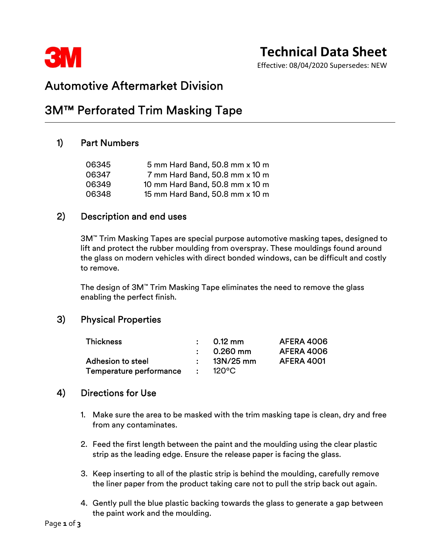

# Technical Data Sheet

Effective: 08/04/2020 Supersedes: NEW

## Automotive Aftermarket Division

## 3M™ Perforated Trim Masking Tape

### 1) Part Numbers

| 06345 | 5 mm Hard Band, 50.8 mm x 10 m  |  |
|-------|---------------------------------|--|
| 06347 | 7 mm Hard Band, 50.8 mm x 10 m  |  |
| 06349 | 10 mm Hard Band, 50.8 mm x 10 m |  |
| 06348 | 15 mm Hard Band, 50.8 mm x 10 m |  |

### 2) Description and end uses

 3M™ Trim Masking Tapes are special purpose automotive masking tapes, designed to lift and protect the rubber moulding from overspray. These mouldings found around the glass on modern vehicles with direct bonded windows, can be difficult and costly to remove.

The design of 3M™ Trim Masking Tape eliminates the need to remove the glass enabling the perfect finish.

### 3) Physical Properties

| <b>Thickness</b>         | $\bullet$ . $\bullet$ | $0.12 \text{ mm}$<br>0.260 mm | <b>AFERA 4006</b><br><b>AFERA 4006</b> |
|--------------------------|-----------------------|-------------------------------|----------------------------------------|
| <b>Adhesion to steel</b> |                       | 13N/25 mm                     | <b>AFERA 4001</b>                      |
| Temperature performance  |                       | $120^{\circ}$ C               |                                        |

### 4) Directions for Use

- 1. Make sure the area to be masked with the trim masking tape is clean, dry and free from any contaminates.
- 2. Feed the first length between the paint and the moulding using the clear plastic strip as the leading edge. Ensure the release paper is facing the glass.
- 3. Keep inserting to all of the plastic strip is behind the moulding, carefully remove the liner paper from the product taking care not to pull the strip back out again.
- 4. Gently pull the blue plastic backing towards the glass to generate a gap between the paint work and the moulding.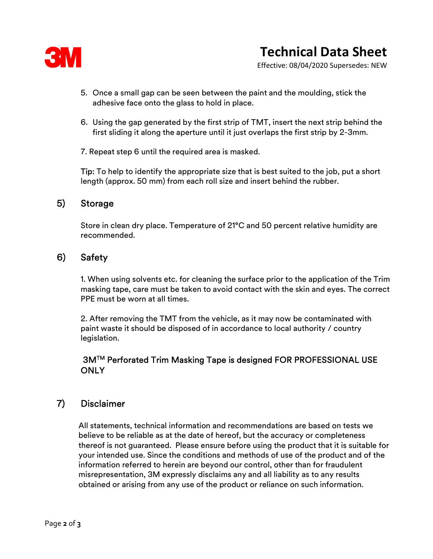

Effective: 08/04/2020 Supersedes: NEW

- 5. Once a small gap can be seen between the paint and the moulding, stick the adhesive face onto the glass to hold in place.
- 6. Using the gap generated by the first strip of TMT, insert the next strip behind the first sliding it along the aperture until it just overlaps the first strip by 2-3mm.

7. Repeat step 6 until the required area is masked.

**Tip:** To help to identify the appropriate size that is best suited to the job, put a short length (approx. 50 mm) from each roll size and insert behind the rubber.

#### 5) Storage

 Store in clean dry place. Temperature of 21°C and 50 percent relative humidity are recommended.

### 6) Safety

 1. When using solvents etc. for cleaning the surface prior to the application of the Trim masking tape, care must be taken to avoid contact with the skin and eyes. The correct PPE must be worn at all times.

2. After removing the TMT from the vehicle, as it may now be contaminated with paint waste it should be disposed of in accordance to local authority / country legislation.

#### 3MTM Perforated Trim Masking Tape is designed FOR PROFESSIONAL USE **ONLY**

### 7) Disclaimer

 All statements, technical information and recommendations are based on tests we believe to be reliable as at the date of hereof, but the accuracy or completeness thereof is not guaranteed. Please ensure before using the product that it is suitable for your intended use. Since the conditions and methods of use of the product and of the information referred to herein are beyond our control, other than for fraudulent misrepresentation, 3M expressly disclaims any and all liability as to any results obtained or arising from any use of the product or reliance on such information.